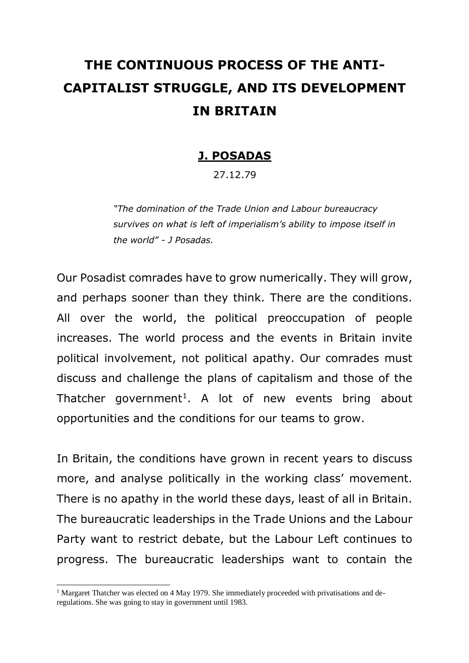# **THE CONTINUOUS PROCESS OF THE ANTI-CAPITALIST STRUGGLE, AND ITS DEVELOPMENT IN BRITAIN**

# **J. POSADAS**

27.12.79

*"The domination of the Trade Union and Labour bureaucracy survives on what is left of imperialism's ability to impose itself in the world" - J Posadas.*

Our Posadist comrades have to grow numerically. They will grow, and perhaps sooner than they think. There are the conditions. All over the world, the political preoccupation of people increases. The world process and the events in Britain invite political involvement, not political apathy. Our comrades must discuss and challenge the plans of capitalism and those of the Thatcher government<sup>1</sup>. A lot of new events bring about opportunities and the conditions for our teams to grow.

In Britain, the conditions have grown in recent years to discuss more, and analyse politically in the working class' movement. There is no apathy in the world these days, least of all in Britain. The bureaucratic leaderships in the Trade Unions and the Labour Party want to restrict debate, but the Labour Left continues to progress. The bureaucratic leaderships want to contain the

<sup>&</sup>lt;sup>1</sup> Margaret Thatcher was elected on 4 May 1979. She immediately proceeded with privatisations and deregulations. She was going to stay in government until 1983.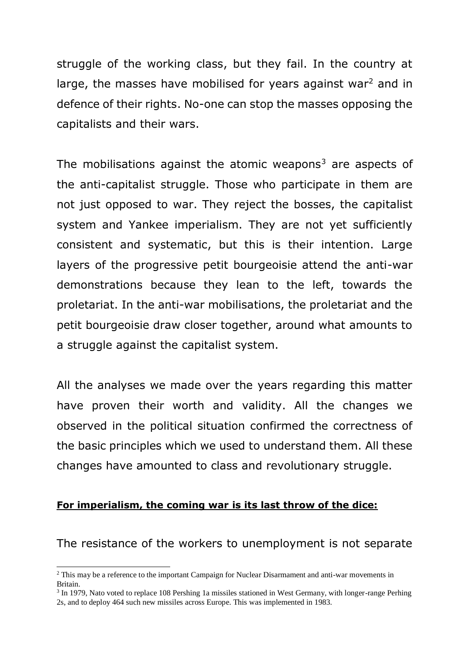struggle of the working class, but they fail. In the country at large, the masses have mobilised for years against war<sup>2</sup> and in defence of their rights. No-one can stop the masses opposing the capitalists and their wars.

The mobilisations against the atomic weapons $3$  are aspects of the anti-capitalist struggle. Those who participate in them are not just opposed to war. They reject the bosses, the capitalist system and Yankee imperialism. They are not yet sufficiently consistent and systematic, but this is their intention. Large layers of the progressive petit bourgeoisie attend the anti-war demonstrations because they lean to the left, towards the proletariat. In the anti-war mobilisations, the proletariat and the petit bourgeoisie draw closer together, around what amounts to a struggle against the capitalist system.

All the analyses we made over the years regarding this matter have proven their worth and validity. All the changes we observed in the political situation confirmed the correctness of the basic principles which we used to understand them. All these changes have amounted to class and revolutionary struggle.

#### **For imperialism, the coming war is its last throw of the dice:**

The resistance of the workers to unemployment is not separate

<sup>&</sup>lt;sup>2</sup> This may be a reference to the important Campaign for Nuclear Disarmament and anti-war movements in Britain.

<sup>&</sup>lt;sup>3</sup> In 1979, Nato voted to replace 108 Pershing 1a missiles stationed in West Germany, with longer-range Perhing 2s, and to deploy 464 such new missiles across Europe. This was implemented in 1983.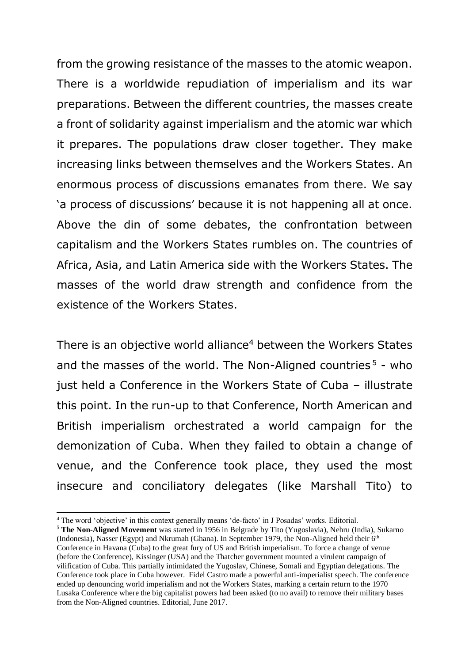from the growing resistance of the masses to the atomic weapon. There is a worldwide repudiation of imperialism and its war preparations. Between the different countries, the masses create a front of solidarity against imperialism and the atomic war which it prepares. The populations draw closer together. They make increasing links between themselves and the Workers States. An enormous process of discussions emanates from there. We say 'a process of discussions' because it is not happening all at once. Above the din of some debates, the confrontation between capitalism and the Workers States rumbles on. The countries of Africa, Asia, and Latin America side with the Workers States. The masses of the world draw strength and confidence from the existence of the Workers States.

There is an objective world alliance<sup>4</sup> between the Workers States and the masses of the world. The Non-Aligned countries  $5$  - who just held a Conference in the Workers State of Cuba – illustrate this point. In the run-up to that Conference, North American and British imperialism orchestrated a world campaign for the demonization of Cuba. When they failed to obtain a change of venue, and the Conference took place, they used the most insecure and conciliatory delegates (like Marshall Tito) to

 $\overline{a}$ 

<sup>4</sup> The word 'objective' in this context generally means 'de-facto' in J Posadas' works. Editorial.

<sup>5</sup> **The Non-Aligned Movement** was started in 1956 in Belgrade by Tito (Yugoslavia), Nehru (India), Sukarno (Indonesia), Nasser (Egypt) and Nkrumah (Ghana). In September 1979, the Non-Aligned held their 6<sup>th</sup> Conference in Havana (Cuba) to the great fury of US and British imperialism. To force a change of venue (before the Conference), Kissinger (USA) and the Thatcher government mounted a virulent campaign of vilification of Cuba. This partially intimidated the Yugoslav, Chinese, Somali and Egyptian delegations. The Conference took place in Cuba however. Fidel Castro made a powerful anti-imperialist speech. The conference ended up denouncing world imperialism and not the Workers States, marking a certain return to the 1970 Lusaka Conference where the big capitalist powers had been asked (to no avail) to remove their military bases from the Non-Aligned countries. Editorial, June 2017.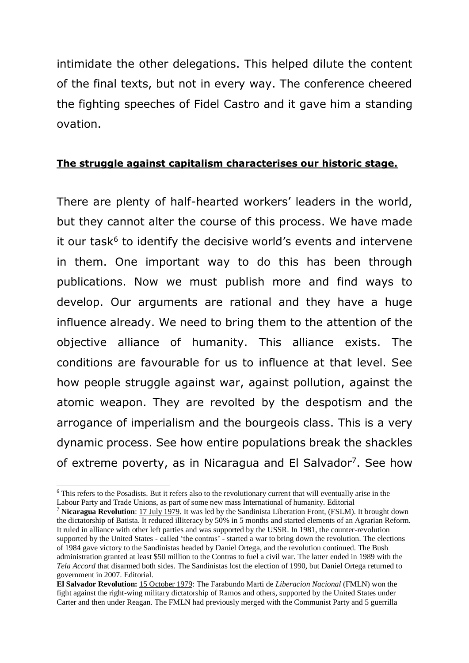intimidate the other delegations. This helped dilute the content of the final texts, but not in every way. The conference cheered the fighting speeches of Fidel Castro and it gave him a standing ovation.

# **The struggle against capitalism characterises our historic stage.**

There are plenty of half-hearted workers' leaders in the world, but they cannot alter the course of this process. We have made it our task<sup>6</sup> to identify the decisive world's events and intervene in them. One important way to do this has been through publications. Now we must publish more and find ways to develop. Our arguments are rational and they have a huge influence already. We need to bring them to the attention of the objective alliance of humanity. This alliance exists. The conditions are favourable for us to influence at that level. See how people struggle against war, against pollution, against the atomic weapon. They are revolted by the despotism and the arrogance of imperialism and the bourgeois class. This is a very dynamic process. See how entire populations break the shackles of extreme poverty, as in Nicaragua and El Salvador<sup>7</sup>. See how

 $\overline{a}$ 

<sup>6</sup> This refers to the Posadists. But it refers also to the revolutionary current that will eventually arise in the Labour Party and Trade Unions, as part of some new mass International of humanity. Editorial

<sup>7</sup> **Nicaragua Revolution**: 17 July 1979. It was led by the Sandinista Liberation Front, (FSLM). It brought down the dictatorship of Batista. It reduced illiteracy by 50% in 5 months and started elements of an Agrarian Reform. It ruled in alliance with other left parties and was supported by the USSR. In 1981, the counter-revolution supported by the United States - called 'the contras' - started a war to bring down the revolution. The elections of 1984 gave victory to the Sandinistas headed by Daniel Ortega, and the revolution continued. The Bush administration granted at least \$50 million to the Contras to fuel a civil war. The latter ended in 1989 with the *Tela Accord* that disarmed both sides. The Sandinistas lost the election of 1990, but Daniel Ortega returned to government in 2007. Editorial.

**El Salvador Revolution:** 15 October 1979: The Farabundo Marti de *Liberacion Nacional* (FMLN) won the fight against the right-wing military dictatorship of Ramos and others, supported by the United States under Carter and then under Reagan. The FMLN had previously merged with the Communist Party and 5 guerrilla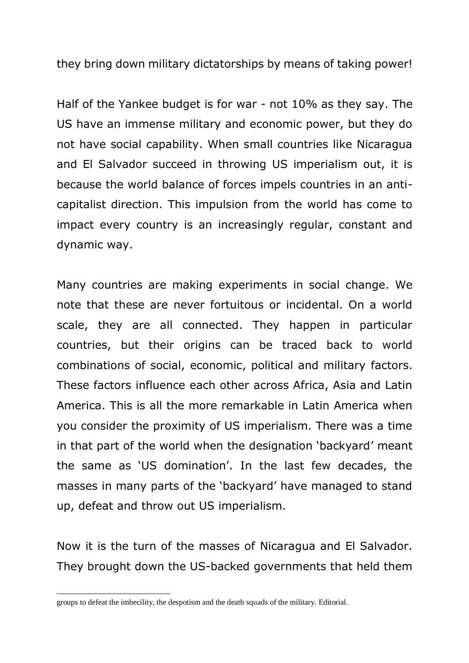they bring down military dictatorships by means of taking power!

Half of the Yankee budget is for war - not 10% as they say. The US have an immense military and economic power, but they do not have social capability. When small countries like Nicaragua and El Salvador succeed in throwing US imperialism out, it is because the world balance of forces impels countries in an anticapitalist direction. This impulsion from the world has come to impact every country is an increasingly regular, constant and dynamic way.

Many countries are making experiments in social change. We note that these are never fortuitous or incidental. On a world scale, they are all connected. They happen in particular countries, but their origins can be traced back to world combinations of social, economic, political and military factors. These factors influence each other across Africa, Asia and Latin America. This is all the more remarkable in Latin America when you consider the proximity of US imperialism. There was a time in that part of the world when the designation 'backyard' meant the same as 'US domination'. In the last few decades, the masses in many parts of the 'backyard' have managed to stand up, defeat and throw out US imperialism.

Now it is the turn of the masses of Nicaragua and El Salvador. They brought down the US-backed governments that held them

groups to defeat the imbecility, the despotism and the death squads of the military. Editorial.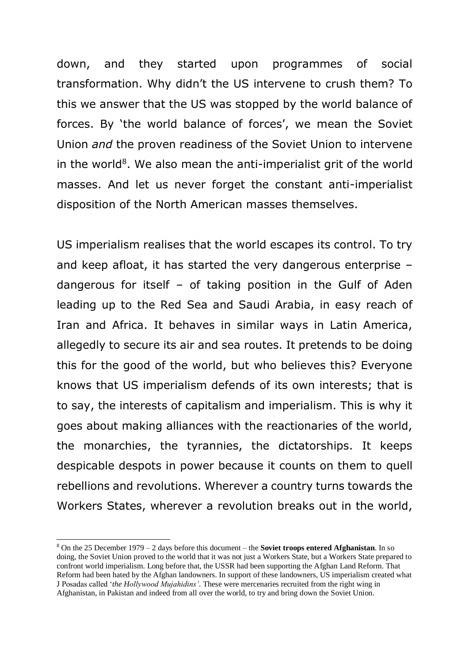down, and they started upon programmes of social transformation. Why didn't the US intervene to crush them? To this we answer that the US was stopped by the world balance of forces. By 'the world balance of forces', we mean the Soviet Union *and* the proven readiness of the Soviet Union to intervene in the world $8$ . We also mean the anti-imperialist grit of the world masses. And let us never forget the constant anti-imperialist disposition of the North American masses themselves.

US imperialism realises that the world escapes its control. To try and keep afloat, it has started the very dangerous enterprise – dangerous for itself – of taking position in the Gulf of Aden leading up to the Red Sea and Saudi Arabia, in easy reach of Iran and Africa. It behaves in similar ways in Latin America, allegedly to secure its air and sea routes. It pretends to be doing this for the good of the world, but who believes this? Everyone knows that US imperialism defends of its own interests; that is to say, the interests of capitalism and imperialism. This is why it goes about making alliances with the reactionaries of the world, the monarchies, the tyrannies, the dictatorships. It keeps despicable despots in power because it counts on them to quell rebellions and revolutions. Wherever a country turns towards the Workers States, wherever a revolution breaks out in the world,

 $\overline{a}$ 

<sup>8</sup> On the 25 December 1979 – 2 days before this document – the **Soviet troops entered Afghanistan**. In so doing, the Soviet Union proved to the world that it was not just a Workers State, but a Workers State prepared to confront world imperialism. Long before that, the USSR had been supporting the Afghan Land Reform. That Reform had been hated by the Afghan landowners. In support of these landowners, US imperialism created what J Posadas called '*the Hollywood Mujahidins'*. These were mercenaries recruited from the right wing in Afghanistan, in Pakistan and indeed from all over the world, to try and bring down the Soviet Union.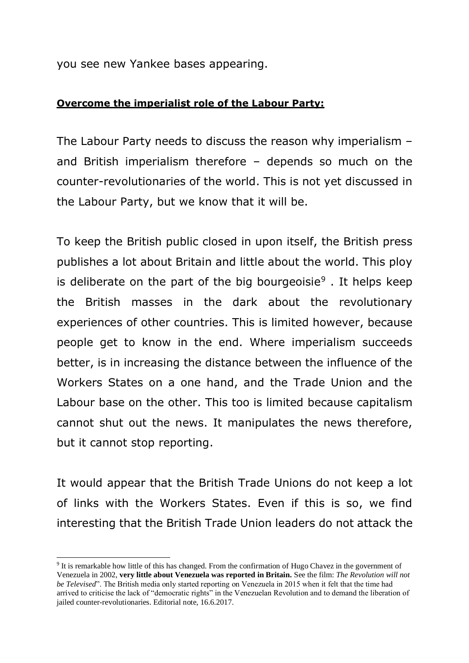you see new Yankee bases appearing.

#### **Overcome the imperialist role of the Labour Party:**

The Labour Party needs to discuss the reason why imperialism – and British imperialism therefore – depends so much on the counter-revolutionaries of the world. This is not yet discussed in the Labour Party, but we know that it will be.

To keep the British public closed in upon itself, the British press publishes a lot about Britain and little about the world. This ploy is deliberate on the part of the big bourgeoisie<sup>9</sup>. It helps keep the British masses in the dark about the revolutionary experiences of other countries. This is limited however, because people get to know in the end. Where imperialism succeeds better, is in increasing the distance between the influence of the Workers States on a one hand, and the Trade Union and the Labour base on the other. This too is limited because capitalism cannot shut out the news. It manipulates the news therefore, but it cannot stop reporting.

It would appear that the British Trade Unions do not keep a lot of links with the Workers States. Even if this is so, we find interesting that the British Trade Union leaders do not attack the

<sup>&</sup>lt;sup>9</sup> It is remarkable how little of this has changed. From the confirmation of Hugo Chavez in the government of Venezuela in 2002, **very little about Venezuela was reported in Britain.** See the film: *The Revolution will not be Televised*". The British media only started reporting on Venezuela in 2015 when it felt that the time had arrived to criticise the lack of "democratic rights" in the Venezuelan Revolution and to demand the liberation of jailed counter-revolutionaries. Editorial note, 16.6.2017.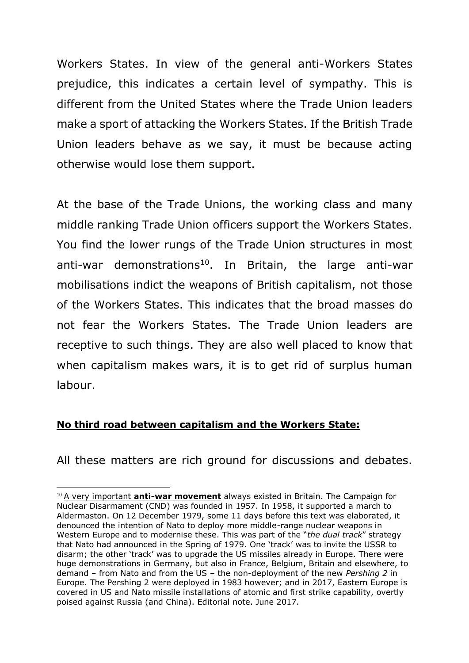Workers States. In view of the general anti-Workers States prejudice, this indicates a certain level of sympathy. This is different from the United States where the Trade Union leaders make a sport of attacking the Workers States. If the British Trade Union leaders behave as we say, it must be because acting otherwise would lose them support.

At the base of the Trade Unions, the working class and many middle ranking Trade Union officers support the Workers States. You find the lower rungs of the Trade Union structures in most anti-war demonstrations<sup>10</sup>. In Britain, the large anti-war mobilisations indict the weapons of British capitalism, not those of the Workers States. This indicates that the broad masses do not fear the Workers States. The Trade Union leaders are receptive to such things. They are also well placed to know that when capitalism makes wars, it is to get rid of surplus human labour.

# **No third road between capitalism and the Workers State:**

-

All these matters are rich ground for discussions and debates.

<sup>&</sup>lt;sup>10</sup> A very important **anti-war movement** always existed in Britain. The Campaign for Nuclear Disarmament (CND) was founded in 1957. In 1958, it supported a march to Aldermaston. On 12 December 1979, some 11 days before this text was elaborated, it denounced the intention of Nato to deploy more middle-range nuclear weapons in Western Europe and to modernise these. This was part of the "*the dual track*" strategy that Nato had announced in the Spring of 1979. One 'track' was to invite the USSR to disarm; the other 'track' was to upgrade the US missiles already in Europe. There were huge demonstrations in Germany, but also in France, Belgium, Britain and elsewhere, to demand – from Nato and from the US – the non-deployment of the new *Pershing 2* in Europe. The Pershing 2 were deployed in 1983 however; and in 2017, Eastern Europe is covered in US and Nato missile installations of atomic and first strike capability, overtly poised against Russia (and China). Editorial note. June 2017.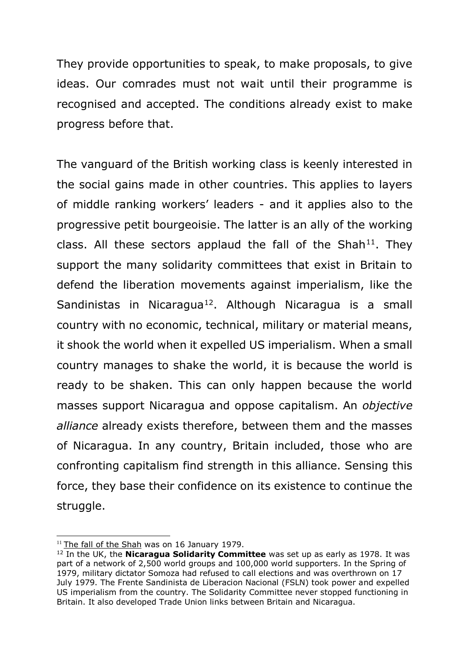They provide opportunities to speak, to make proposals, to give ideas. Our comrades must not wait until their programme is recognised and accepted. The conditions already exist to make progress before that.

The vanguard of the British working class is keenly interested in the social gains made in other countries. This applies to layers of middle ranking workers' leaders - and it applies also to the progressive petit bourgeoisie. The latter is an ally of the working class. All these sectors applaud the fall of the Shah<sup>11</sup>. They support the many solidarity committees that exist in Britain to defend the liberation movements against imperialism, like the Sandinistas in Nicaragua<sup>12</sup>. Although Nicaragua is a small country with no economic, technical, military or material means, it shook the world when it expelled US imperialism. When a small country manages to shake the world, it is because the world is ready to be shaken. This can only happen because the world masses support Nicaragua and oppose capitalism. An *objective alliance* already exists therefore, between them and the masses of Nicaragua. In any country, Britain included, those who are confronting capitalism find strength in this alliance. Sensing this force, they base their confidence on its existence to continue the struggle.

<sup>-</sup><sup>11</sup> The fall of the Shah was on 16 January 1979.

<sup>12</sup> In the UK, the **Nicaragua Solidarity Committee** was set up as early as 1978. It was part of a network of 2,500 world groups and 100,000 world supporters. In the Spring of 1979, military dictator Somoza had refused to call elections and was overthrown on 17 July 1979. The Frente Sandinista de Liberacion Nacional (FSLN) took power and expelled US imperialism from the country. The Solidarity Committee never stopped functioning in Britain. It also developed Trade Union links between Britain and Nicaragua.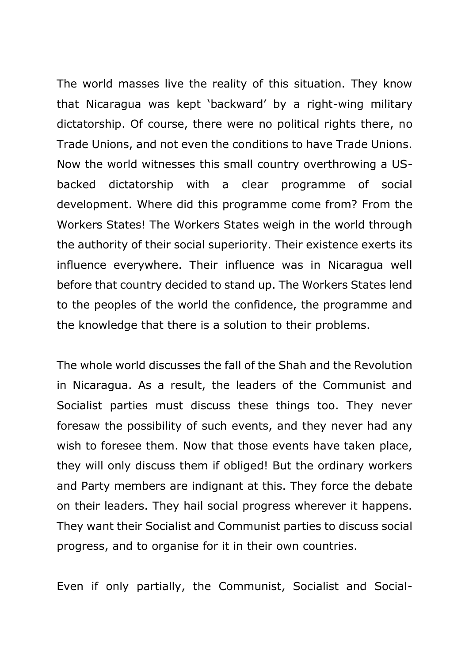The world masses live the reality of this situation. They know that Nicaragua was kept 'backward' by a right-wing military dictatorship. Of course, there were no political rights there, no Trade Unions, and not even the conditions to have Trade Unions. Now the world witnesses this small country overthrowing a USbacked dictatorship with a clear programme of social development. Where did this programme come from? From the Workers States! The Workers States weigh in the world through the authority of their social superiority. Their existence exerts its influence everywhere. Their influence was in Nicaragua well before that country decided to stand up. The Workers States lend to the peoples of the world the confidence, the programme and the knowledge that there is a solution to their problems.

The whole world discusses the fall of the Shah and the Revolution in Nicaragua. As a result, the leaders of the Communist and Socialist parties must discuss these things too. They never foresaw the possibility of such events, and they never had any wish to foresee them. Now that those events have taken place, they will only discuss them if obliged! But the ordinary workers and Party members are indignant at this. They force the debate on their leaders. They hail social progress wherever it happens. They want their Socialist and Communist parties to discuss social progress, and to organise for it in their own countries.

Even if only partially, the Communist, Socialist and Social-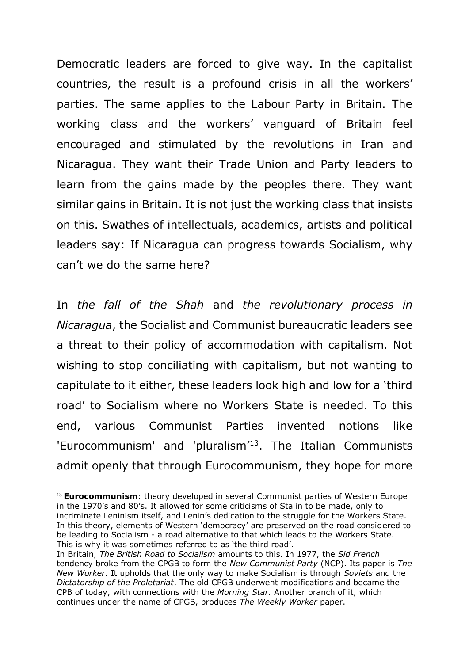Democratic leaders are forced to give way. In the capitalist countries, the result is a profound crisis in all the workers' parties. The same applies to the Labour Party in Britain. The working class and the workers' vanguard of Britain feel encouraged and stimulated by the revolutions in Iran and Nicaragua. They want their Trade Union and Party leaders to learn from the gains made by the peoples there. They want similar gains in Britain. It is not just the working class that insists on this. Swathes of intellectuals, academics, artists and political leaders say: If Nicaragua can progress towards Socialism, why can't we do the same here?

In *the fall of the Shah* and *the revolutionary process in Nicaragua*, the Socialist and Communist bureaucratic leaders see a threat to their policy of accommodation with capitalism. Not wishing to stop conciliating with capitalism, but not wanting to capitulate to it either, these leaders look high and low for a 'third road' to Socialism where no Workers State is needed. To this end, various Communist Parties invented notions like 'Eurocommunism' and 'pluralism'<sup>13</sup>. The Italian Communists admit openly that through Eurocommunism, they hope for more

<sup>&</sup>lt;sup>13</sup> **Eurocommunism**: theory developed in several Communist parties of Western Europe in the 1970's and 80's. It allowed for some criticisms of Stalin to be made, only to incriminate Leninism itself, and Lenin's dedication to the struggle for the Workers State. In this theory, elements of Western 'democracy' are preserved on the road considered to be leading to Socialism - a road alternative to that which leads to the Workers State. This is why it was sometimes referred to as 'the third road'.

In Britain, *The British Road to Socialism* amounts to this. In 1977, the *Sid French* tendency broke from the CPGB to form the *New Communist Party* (NCP). Its paper is *The New Worker*. It upholds that the only way to make Socialism is through *Soviets* and the *Dictatorship of the Proletariat*. The old CPGB underwent modifications and became the CPB of today, with connections with the *Morning Star.* Another branch of it, which continues under the name of CPGB, produces *The Weekly Worker* paper.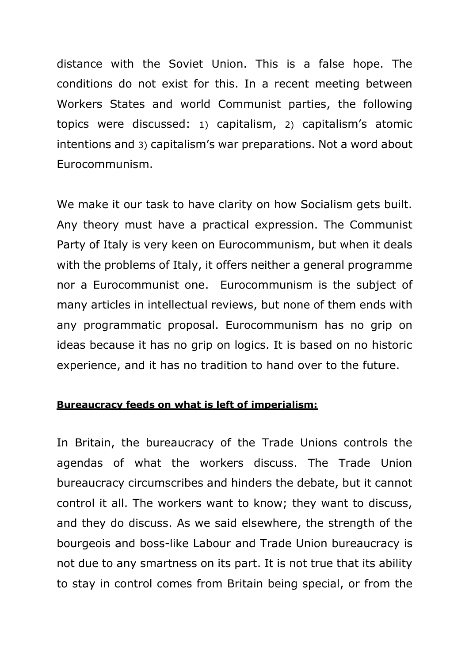distance with the Soviet Union. This is a false hope. The conditions do not exist for this. In a recent meeting between Workers States and world Communist parties, the following topics were discussed: 1) capitalism, 2) capitalism's atomic intentions and 3) capitalism's war preparations. Not a word about Eurocommunism.

We make it our task to have clarity on how Socialism gets built. Any theory must have a practical expression. The Communist Party of Italy is very keen on Eurocommunism, but when it deals with the problems of Italy, it offers neither a general programme nor a Eurocommunist one. Eurocommunism is the subject of many articles in intellectual reviews, but none of them ends with any programmatic proposal. Eurocommunism has no grip on ideas because it has no grip on logics. It is based on no historic experience, and it has no tradition to hand over to the future.

# **Bureaucracy feeds on what is left of imperialism:**

In Britain, the bureaucracy of the Trade Unions controls the agendas of what the workers discuss. The Trade Union bureaucracy circumscribes and hinders the debate, but it cannot control it all. The workers want to know; they want to discuss, and they do discuss. As we said elsewhere, the strength of the bourgeois and boss-like Labour and Trade Union bureaucracy is not due to any smartness on its part. It is not true that its ability to stay in control comes from Britain being special, or from the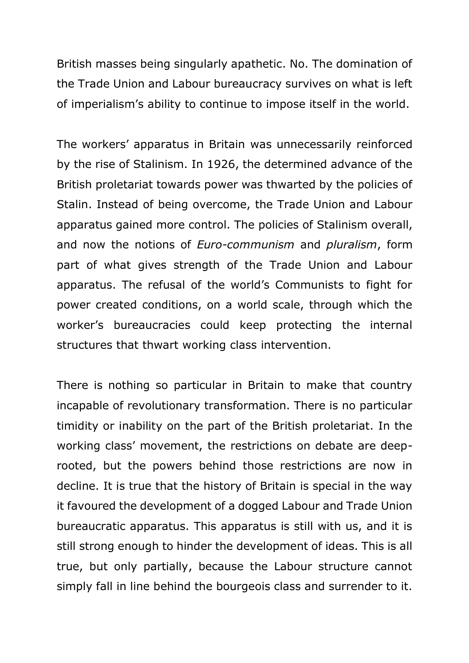British masses being singularly apathetic. No. The domination of the Trade Union and Labour bureaucracy survives on what is left of imperialism's ability to continue to impose itself in the world.

The workers' apparatus in Britain was unnecessarily reinforced by the rise of Stalinism. In 1926, the determined advance of the British proletariat towards power was thwarted by the policies of Stalin. Instead of being overcome, the Trade Union and Labour apparatus gained more control. The policies of Stalinism overall, and now the notions of *Euro-communism* and *pluralism*, form part of what gives strength of the Trade Union and Labour apparatus. The refusal of the world's Communists to fight for power created conditions, on a world scale, through which the worker's bureaucracies could keep protecting the internal structures that thwart working class intervention.

There is nothing so particular in Britain to make that country incapable of revolutionary transformation. There is no particular timidity or inability on the part of the British proletariat. In the working class' movement, the restrictions on debate are deeprooted, but the powers behind those restrictions are now in decline. It is true that the history of Britain is special in the way it favoured the development of a dogged Labour and Trade Union bureaucratic apparatus. This apparatus is still with us, and it is still strong enough to hinder the development of ideas. This is all true, but only partially, because the Labour structure cannot simply fall in line behind the bourgeois class and surrender to it.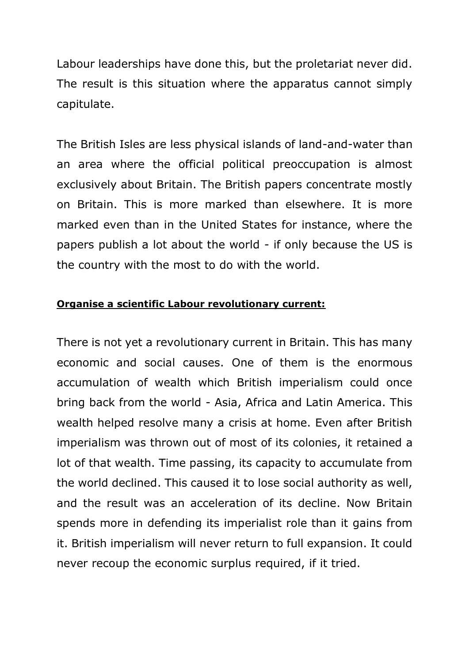Labour leaderships have done this, but the proletariat never did. The result is this situation where the apparatus cannot simply capitulate.

The British Isles are less physical islands of land-and-water than an area where the official political preoccupation is almost exclusively about Britain. The British papers concentrate mostly on Britain. This is more marked than elsewhere. It is more marked even than in the United States for instance, where the papers publish a lot about the world - if only because the US is the country with the most to do with the world.

#### **Organise a scientific Labour revolutionary current:**

There is not yet a revolutionary current in Britain. This has many economic and social causes. One of them is the enormous accumulation of wealth which British imperialism could once bring back from the world - Asia, Africa and Latin America. This wealth helped resolve many a crisis at home. Even after British imperialism was thrown out of most of its colonies, it retained a lot of that wealth. Time passing, its capacity to accumulate from the world declined. This caused it to lose social authority as well, and the result was an acceleration of its decline. Now Britain spends more in defending its imperialist role than it gains from it. British imperialism will never return to full expansion. It could never recoup the economic surplus required, if it tried.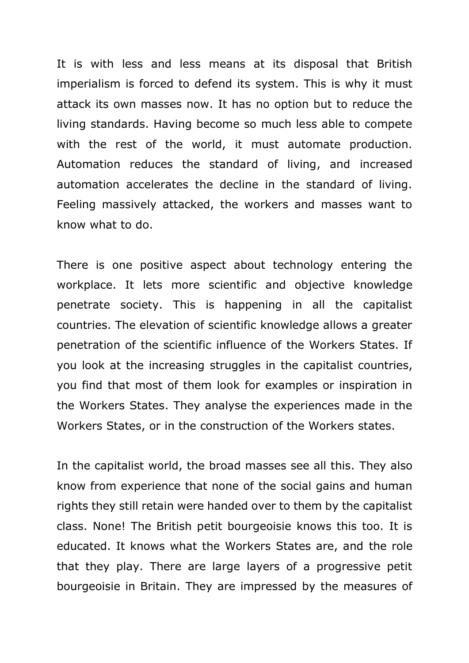It is with less and less means at its disposal that British imperialism is forced to defend its system. This is why it must attack its own masses now. It has no option but to reduce the living standards. Having become so much less able to compete with the rest of the world, it must automate production. Automation reduces the standard of living, and increased automation accelerates the decline in the standard of living. Feeling massively attacked, the workers and masses want to know what to do.

There is one positive aspect about technology entering the workplace. It lets more scientific and objective knowledge penetrate society. This is happening in all the capitalist countries. The elevation of scientific knowledge allows a greater penetration of the scientific influence of the Workers States. If you look at the increasing struggles in the capitalist countries, you find that most of them look for examples or inspiration in the Workers States. They analyse the experiences made in the Workers States, or in the construction of the Workers states.

In the capitalist world, the broad masses see all this. They also know from experience that none of the social gains and human rights they still retain were handed over to them by the capitalist class. None! The British petit bourgeoisie knows this too. It is educated. It knows what the Workers States are, and the role that they play. There are large layers of a progressive petit bourgeoisie in Britain. They are impressed by the measures of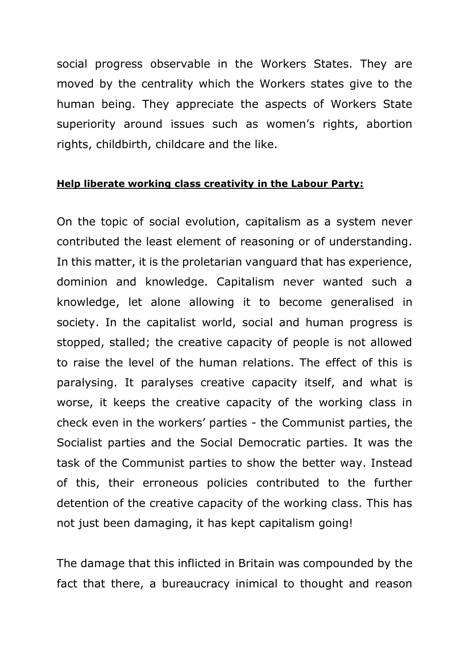social progress observable in the Workers States. They are moved by the centrality which the Workers states give to the human being. They appreciate the aspects of Workers State superiority around issues such as women's rights, abortion rights, childbirth, childcare and the like.

#### **Help liberate working class creativity in the Labour Party:**

On the topic of social evolution, capitalism as a system never contributed the least element of reasoning or of understanding. In this matter, it is the proletarian vanguard that has experience, dominion and knowledge. Capitalism never wanted such a knowledge, let alone allowing it to become generalised in society. In the capitalist world, social and human progress is stopped, stalled; the creative capacity of people is not allowed to raise the level of the human relations. The effect of this is paralysing. It paralyses creative capacity itself, and what is worse, it keeps the creative capacity of the working class in check even in the workers' parties - the Communist parties, the Socialist parties and the Social Democratic parties. It was the task of the Communist parties to show the better way. Instead of this, their erroneous policies contributed to the further detention of the creative capacity of the working class. This has not just been damaging, it has kept capitalism going!

The damage that this inflicted in Britain was compounded by the fact that there, a bureaucracy inimical to thought and reason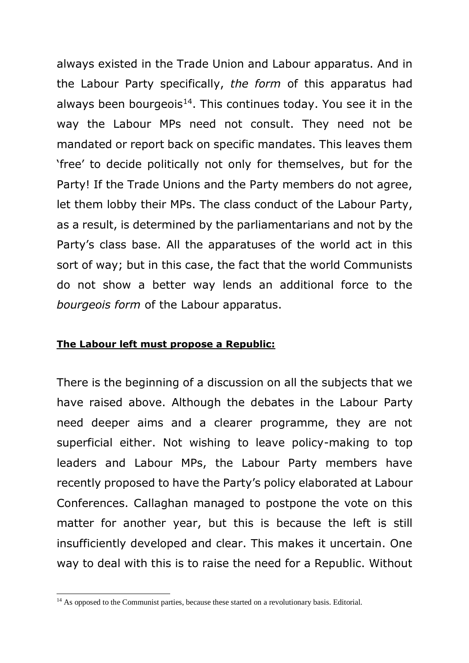always existed in the Trade Union and Labour apparatus. And in the Labour Party specifically, *the form* of this apparatus had always been bourgeois<sup>14</sup>. This continues today. You see it in the way the Labour MPs need not consult. They need not be mandated or report back on specific mandates. This leaves them 'free' to decide politically not only for themselves, but for the Party! If the Trade Unions and the Party members do not agree, let them lobby their MPs. The class conduct of the Labour Party, as a result, is determined by the parliamentarians and not by the Party's class base. All the apparatuses of the world act in this sort of way; but in this case, the fact that the world Communists do not show a better way lends an additional force to the *bourgeois form* of the Labour apparatus.

#### **The Labour left must propose a Republic:**

There is the beginning of a discussion on all the subjects that we have raised above. Although the debates in the Labour Party need deeper aims and a clearer programme, they are not superficial either. Not wishing to leave policy-making to top leaders and Labour MPs, the Labour Party members have recently proposed to have the Party's policy elaborated at Labour Conferences. Callaghan managed to postpone the vote on this matter for another year, but this is because the left is still insufficiently developed and clear. This makes it uncertain. One way to deal with this is to raise the need for a Republic. Without

<sup>-</sup><sup>14</sup> As opposed to the Communist parties, because these started on a revolutionary basis. Editorial.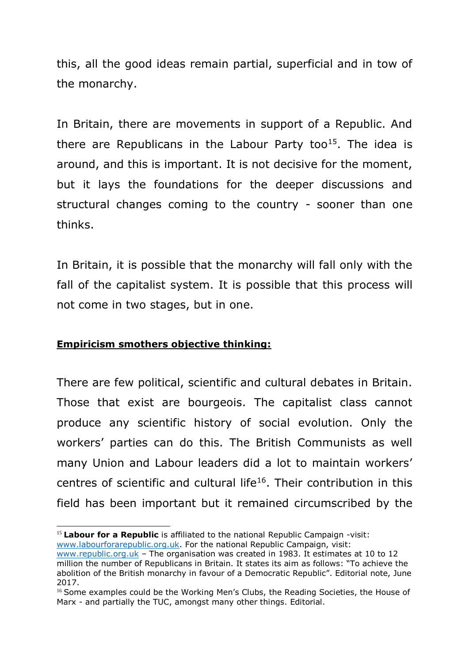this, all the good ideas remain partial, superficial and in tow of the monarchy.

In Britain, there are movements in support of a Republic. And there are Republicans in the Labour Party too<sup>15</sup>. The idea is around, and this is important. It is not decisive for the moment, but it lays the foundations for the deeper discussions and structural changes coming to the country - sooner than one thinks.

In Britain, it is possible that the monarchy will fall only with the fall of the capitalist system. It is possible that this process will not come in two stages, but in one.

# **Empiricism smothers objective thinking:**

-

There are few political, scientific and cultural debates in Britain. Those that exist are bourgeois. The capitalist class cannot produce any scientific history of social evolution. Only the workers' parties can do this. The British Communists as well many Union and Labour leaders did a lot to maintain workers' centres of scientific and cultural life<sup>16</sup>. Their contribution in this field has been important but it remained circumscribed by the

<sup>15</sup> **Labour for a Republic** is affiliated to the national Republic Campaign -visit: [www.labourforarepublic.org.uk.](http://www.labourforarepublic.org.uk/) For the national Republic Campaign, visit:

[www.republic.org.uk](http://www.republic.org.uk/) – The organisation was created in 1983. It estimates at 10 to 12 million the number of Republicans in Britain. It states its aim as follows: "To achieve the abolition of the British monarchy in favour of a Democratic Republic". Editorial note, June 2017.

<sup>&</sup>lt;sup>16</sup> Some examples could be the Working Men's Clubs, the Reading Societies, the House of Marx - and partially the TUC, amongst many other things. Editorial.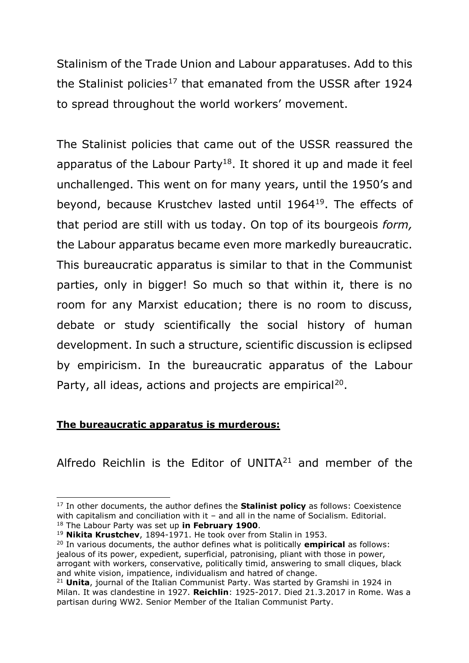Stalinism of the Trade Union and Labour apparatuses. Add to this the Stalinist policies<sup>17</sup> that emanated from the USSR after 1924 to spread throughout the world workers' movement.

The Stalinist policies that came out of the USSR reassured the apparatus of the Labour Party<sup>18</sup>. It shored it up and made it feel unchallenged. This went on for many years, until the 1950's and beyond, because Krustchev lasted until 1964<sup>19</sup>. The effects of that period are still with us today. On top of its bourgeois *form,* the Labour apparatus became even more markedly bureaucratic. This bureaucratic apparatus is similar to that in the Communist parties, only in bigger! So much so that within it, there is no room for any Marxist education; there is no room to discuss, debate or study scientifically the social history of human development. In such a structure, scientific discussion is eclipsed by empiricism. In the bureaucratic apparatus of the Labour Party, all ideas, actions and projects are empirical<sup>20</sup>.

# **The bureaucratic apparatus is murderous:**

Alfredo Reichlin is the Editor of UNITA $21$  and member of the

<sup>20</sup> In various documents, the author defines what is politically **empirical** as follows: jealous of its power, expedient, superficial, patronising, pliant with those in power, arrogant with workers, conservative, politically timid, answering to small cliques, black and white vision, impatience, individualism and hatred of change.

 $\overline{a}$ <sup>17</sup> In other documents, the author defines the **Stalinist policy** as follows: Coexistence with capitalism and conciliation with it - and all in the name of Socialism. Editorial. <sup>18</sup> The Labour Party was set up **in February 1900**.

<sup>19</sup> **Nikita Krustchev**, 1894-1971. He took over from Stalin in 1953.

<sup>21</sup> **Unita**, journal of the Italian Communist Party. Was started by Gramshi in 1924 in Milan. It was clandestine in 1927. **Reichlin**: 1925-2017. Died 21.3.2017 in Rome. Was a partisan during WW2. Senior Member of the Italian Communist Party.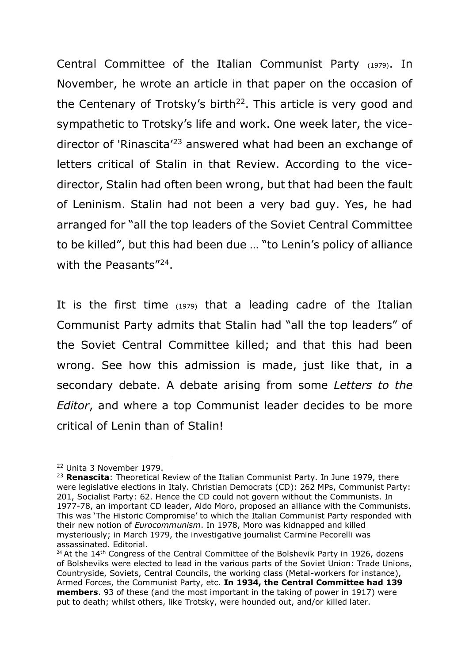Central Committee of the Italian Communist Party (1979). In November, he wrote an article in that paper on the occasion of the Centenary of Trotsky's birth<sup>22</sup>. This article is very good and sympathetic to Trotsky's life and work. One week later, the vicedirector of 'Rinascita'<sup>23</sup> answered what had been an exchange of letters critical of Stalin in that Review. According to the vicedirector, Stalin had often been wrong, but that had been the fault of Leninism. Stalin had not been a very bad guy. Yes, he had arranged for "all the top leaders of the Soviet Central Committee to be killed", but this had been due … "to Lenin's policy of alliance with the Peasants"<sup>24</sup>.

It is the first time (1979) that a leading cadre of the Italian Communist Party admits that Stalin had "all the top leaders" of the Soviet Central Committee killed; and that this had been wrong. See how this admission is made, just like that, in a secondary debate. A debate arising from some *Letters to the Editor*, and where a top Communist leader decides to be more critical of Lenin than of Stalin!

 $\overline{a}$ <sup>22</sup> Unita 3 November 1979.

<sup>23</sup> **Renascita**: Theoretical Review of the Italian Communist Party. In June 1979, there were legislative elections in Italy. Christian Democrats (CD): 262 MPs, Communist Party: 201, Socialist Party: 62. Hence the CD could not govern without the Communists. In 1977-78, an important CD leader, Aldo Moro, proposed an alliance with the Communists. This was 'The Historic Compromise' to which the Italian Communist Party responded with their new notion of *Eurocommunism*. In 1978, Moro was kidnapped and killed mysteriously; in March 1979, the investigative journalist Carmine Pecorelli was assassinated. Editorial.

<sup>&</sup>lt;sup>24</sup> At the 14<sup>th</sup> Congress of the Central Committee of the Bolshevik Party in 1926, dozens of Bolsheviks were elected to lead in the various parts of the Soviet Union: Trade Unions, Countryside, Soviets, Central Councils, the working class (Metal-workers for instance), Armed Forces, the Communist Party, etc. **In 1934, the Central Committee had 139 members**. 93 of these (and the most important in the taking of power in 1917) were put to death; whilst others, like Trotsky, were hounded out, and/or killed later.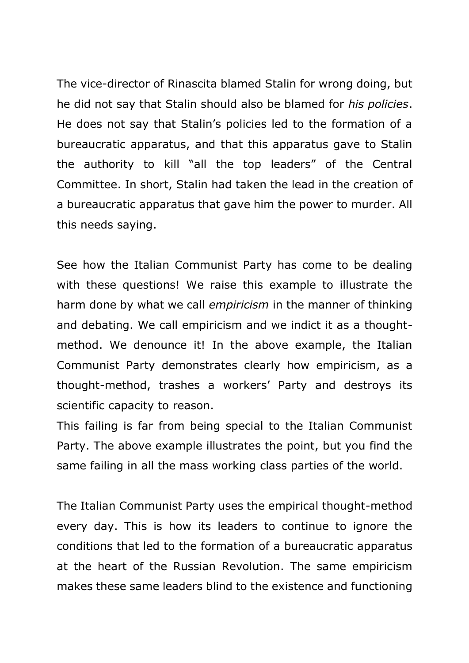The vice-director of Rinascita blamed Stalin for wrong doing, but he did not say that Stalin should also be blamed for *his policies*. He does not say that Stalin's policies led to the formation of a bureaucratic apparatus, and that this apparatus gave to Stalin the authority to kill "all the top leaders" of the Central Committee. In short, Stalin had taken the lead in the creation of a bureaucratic apparatus that gave him the power to murder. All this needs saying.

See how the Italian Communist Party has come to be dealing with these questions! We raise this example to illustrate the harm done by what we call *empiricism* in the manner of thinking and debating. We call empiricism and we indict it as a thoughtmethod. We denounce it! In the above example, the Italian Communist Party demonstrates clearly how empiricism, as a thought-method, trashes a workers' Party and destroys its scientific capacity to reason.

This failing is far from being special to the Italian Communist Party. The above example illustrates the point, but you find the same failing in all the mass working class parties of the world.

The Italian Communist Party uses the empirical thought-method every day. This is how its leaders to continue to ignore the conditions that led to the formation of a bureaucratic apparatus at the heart of the Russian Revolution. The same empiricism makes these same leaders blind to the existence and functioning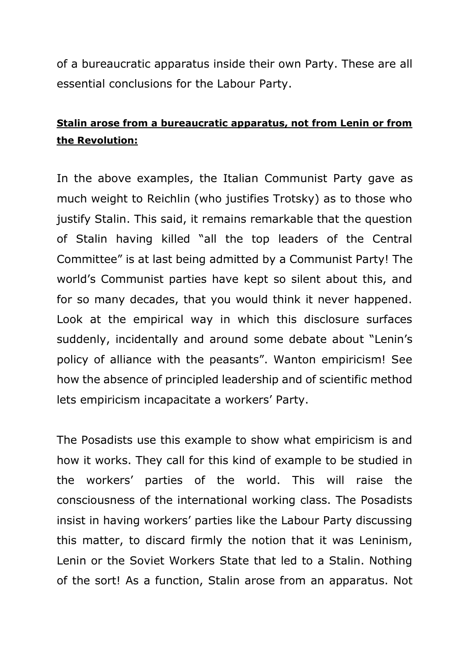of a bureaucratic apparatus inside their own Party. These are all essential conclusions for the Labour Party.

# **Stalin arose from a bureaucratic apparatus, not from Lenin or from the Revolution:**

In the above examples, the Italian Communist Party gave as much weight to Reichlin (who justifies Trotsky) as to those who justify Stalin. This said, it remains remarkable that the question of Stalin having killed "all the top leaders of the Central Committee" is at last being admitted by a Communist Party! The world's Communist parties have kept so silent about this, and for so many decades, that you would think it never happened. Look at the empirical way in which this disclosure surfaces suddenly, incidentally and around some debate about "Lenin's policy of alliance with the peasants". Wanton empiricism! See how the absence of principled leadership and of scientific method lets empiricism incapacitate a workers' Party.

The Posadists use this example to show what empiricism is and how it works. They call for this kind of example to be studied in the workers' parties of the world. This will raise the consciousness of the international working class. The Posadists insist in having workers' parties like the Labour Party discussing this matter, to discard firmly the notion that it was Leninism, Lenin or the Soviet Workers State that led to a Stalin. Nothing of the sort! As a function, Stalin arose from an apparatus. Not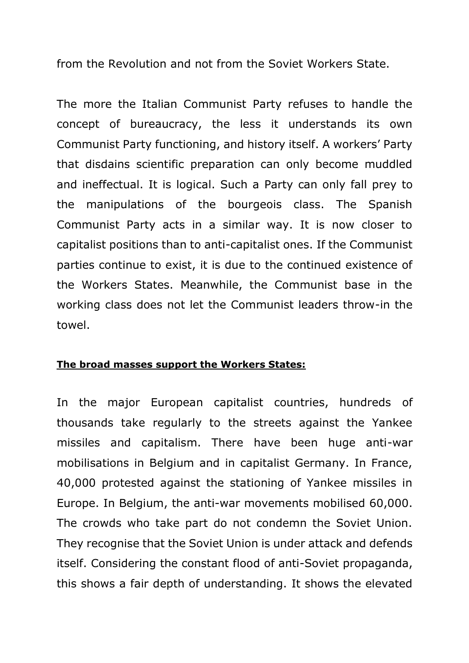from the Revolution and not from the Soviet Workers State.

The more the Italian Communist Party refuses to handle the concept of bureaucracy, the less it understands its own Communist Party functioning, and history itself. A workers' Party that disdains scientific preparation can only become muddled and ineffectual. It is logical. Such a Party can only fall prey to the manipulations of the bourgeois class. The Spanish Communist Party acts in a similar way. It is now closer to capitalist positions than to anti-capitalist ones. If the Communist parties continue to exist, it is due to the continued existence of the Workers States. Meanwhile, the Communist base in the working class does not let the Communist leaders throw-in the towel.

#### **The broad masses support the Workers States:**

In the major European capitalist countries, hundreds of thousands take regularly to the streets against the Yankee missiles and capitalism. There have been huge anti-war mobilisations in Belgium and in capitalist Germany. In France, 40,000 protested against the stationing of Yankee missiles in Europe. In Belgium, the anti-war movements mobilised 60,000. The crowds who take part do not condemn the Soviet Union. They recognise that the Soviet Union is under attack and defends itself. Considering the constant flood of anti-Soviet propaganda, this shows a fair depth of understanding. It shows the elevated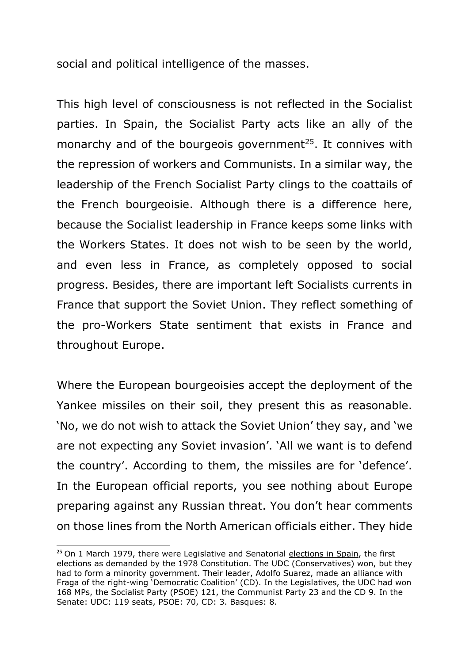social and political intelligence of the masses.

This high level of consciousness is not reflected in the Socialist parties. In Spain, the Socialist Party acts like an ally of the monarchy and of the bourgeois government<sup>25</sup>. It connives with the repression of workers and Communists. In a similar way, the leadership of the French Socialist Party clings to the coattails of the French bourgeoisie. Although there is a difference here, because the Socialist leadership in France keeps some links with the Workers States. It does not wish to be seen by the world, and even less in France, as completely opposed to social progress. Besides, there are important left Socialists currents in France that support the Soviet Union. They reflect something of the pro-Workers State sentiment that exists in France and throughout Europe.

Where the European bourgeoisies accept the deployment of the Yankee missiles on their soil, they present this as reasonable. 'No, we do not wish to attack the Soviet Union' they say, and 'we are not expecting any Soviet invasion'. 'All we want is to defend the country'. According to them, the missiles are for 'defence'. In the European official reports, you see nothing about Europe preparing against any Russian threat. You don't hear comments on those lines from the North American officials either. They hide

<sup>&</sup>lt;sup>25</sup> On 1 March 1979, there were Legislative and Senatorial elections in Spain, the first elections as demanded by the 1978 Constitution. The UDC (Conservatives) won, but they had to form a minority government. Their leader, Adolfo Suarez, made an alliance with Fraga of the right-wing 'Democratic Coalition' (CD). In the Legislatives, the UDC had won 168 MPs, the Socialist Party (PSOE) 121, the Communist Party 23 and the CD 9. In the Senate: UDC: 119 seats, PSOE: 70, CD: 3. Basques: 8.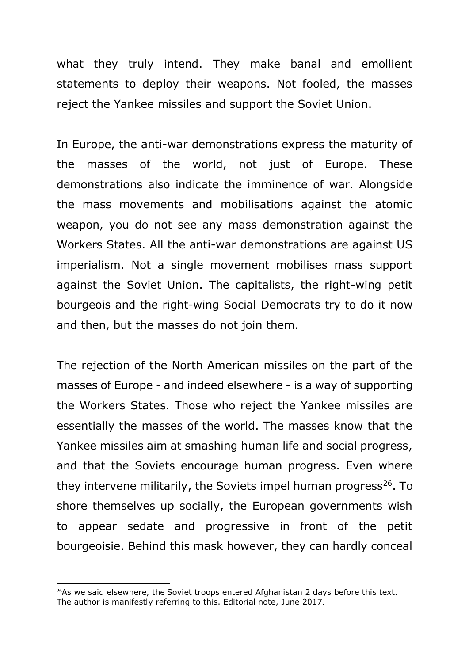what they truly intend. They make banal and emollient statements to deploy their weapons. Not fooled, the masses reject the Yankee missiles and support the Soviet Union.

In Europe, the anti-war demonstrations express the maturity of the masses of the world, not just of Europe. These demonstrations also indicate the imminence of war. Alongside the mass movements and mobilisations against the atomic weapon, you do not see any mass demonstration against the Workers States. All the anti-war demonstrations are against US imperialism. Not a single movement mobilises mass support against the Soviet Union. The capitalists, the right-wing petit bourgeois and the right-wing Social Democrats try to do it now and then, but the masses do not join them.

The rejection of the North American missiles on the part of the masses of Europe - and indeed elsewhere - is a way of supporting the Workers States. Those who reject the Yankee missiles are essentially the masses of the world. The masses know that the Yankee missiles aim at smashing human life and social progress, and that the Soviets encourage human progress. Even where they intervene militarily, the Soviets impel human progress<sup>26</sup>. To shore themselves up socially, the European governments wish to appear sedate and progressive in front of the petit bourgeoisie. Behind this mask however, they can hardly conceal

 $26As$  we said elsewhere, the Soviet troops entered Afghanistan 2 days before this text. The author is manifestly referring to this. Editorial note, June 2017.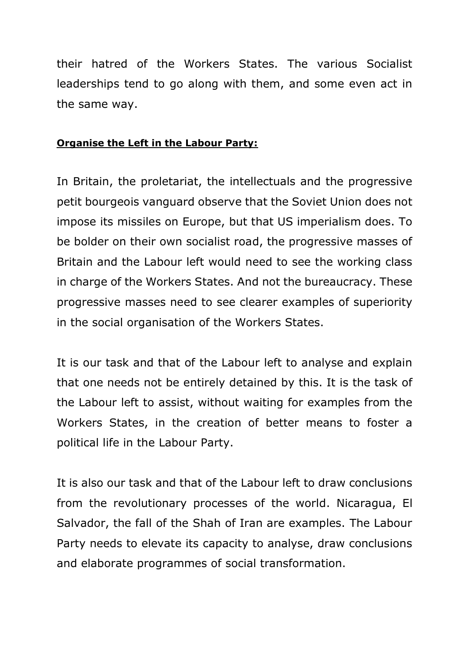their hatred of the Workers States. The various Socialist leaderships tend to go along with them, and some even act in the same way.

#### **Organise the Left in the Labour Party:**

In Britain, the proletariat, the intellectuals and the progressive petit bourgeois vanguard observe that the Soviet Union does not impose its missiles on Europe, but that US imperialism does. To be bolder on their own socialist road, the progressive masses of Britain and the Labour left would need to see the working class in charge of the Workers States. And not the bureaucracy. These progressive masses need to see clearer examples of superiority in the social organisation of the Workers States.

It is our task and that of the Labour left to analyse and explain that one needs not be entirely detained by this. It is the task of the Labour left to assist, without waiting for examples from the Workers States, in the creation of better means to foster a political life in the Labour Party.

It is also our task and that of the Labour left to draw conclusions from the revolutionary processes of the world. Nicaragua, El Salvador, the fall of the Shah of Iran are examples. The Labour Party needs to elevate its capacity to analyse, draw conclusions and elaborate programmes of social transformation.